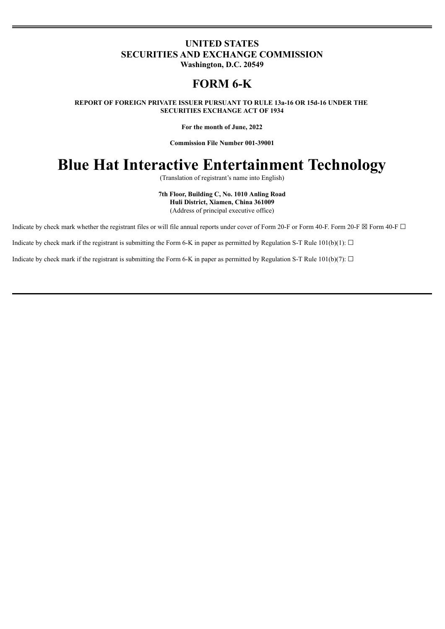# **UNITED STATES SECURITIES AND EXCHANGE COMMISSION Washington, D.C. 20549**

# **FORM 6-K**

**REPORT OF FOREIGN PRIVATE ISSUER PURSUANT TO RULE 13a-16 OR 15d-16 UNDER THE SECURITIES EXCHANGE ACT OF 1934**

**For the month of June, 2022**

**Commission File Number 001-39001**

# **Blue Hat Interactive Entertainment Technology**

(Translation of registrant's name into English)

**7th Floor, Building C, No. 1010 Anling Road Huli District, Xiamen, China 361009** (Address of principal executive office)

Indicate by check mark whether the registrant files or will file annual reports under cover of Form 20-F or Form 40-F. Form 20-F  $\boxtimes$  Form 40-F  $\Box$ 

Indicate by check mark if the registrant is submitting the Form 6-K in paper as permitted by Regulation S-T Rule  $101(b)(1)$ :  $\Box$ 

Indicate by check mark if the registrant is submitting the Form 6-K in paper as permitted by Regulation S-T Rule 101(b)(7):  $\Box$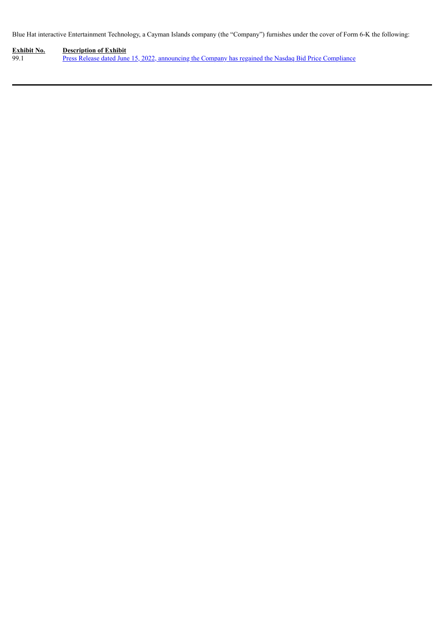Blue Hat interactive Entertainment Technology, a Cayman Islands company (the "Company") furnishes under the cover of Form 6-K the following:

**Exhibit No. Description of Exhibit** 99.1 Press Release dated June 15, 2022, announcing the Company has regained the Nasdaq Bid Price [Compliance](#page-3-0)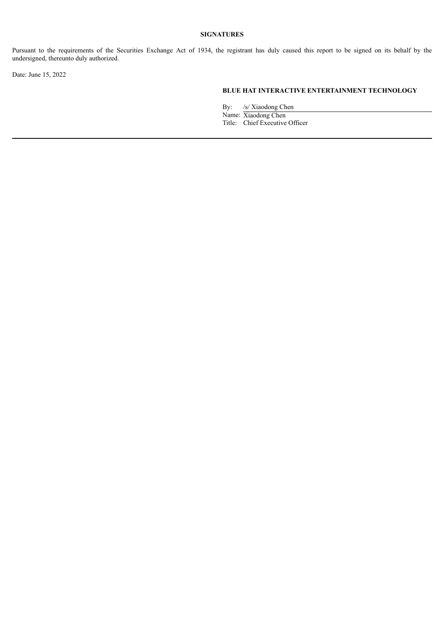### **SIGNATURES**

Pursuant to the requirements of the Securities Exchange Act of 1934, the registrant has duly caused this report to be signed on its behalf by the undersigned, thereunto duly authorized.

Date: June 15, 2022

### **BLUE HAT INTERACTIVE ENTERTAINMENT TECHNOLOGY**

By: /s/ Xiaodong Chen

Name: Xiaodong Chen Title: Chief Executive Officer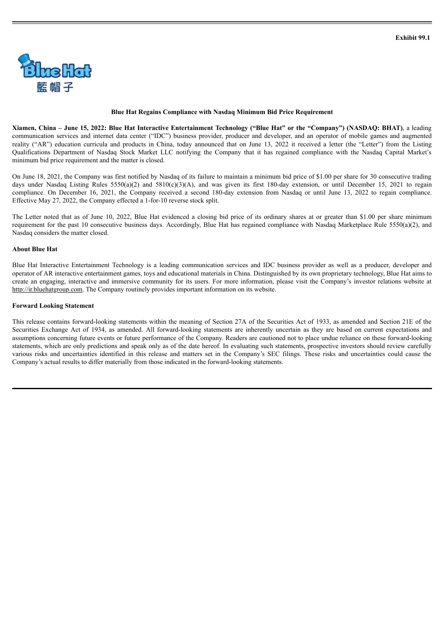<span id="page-3-0"></span>

#### **Blue Hat Regains Compliance with Nasdaq Minimum Bid Price Requirement**

Xiamen, China - June 15, 2022: Blue Hat Interactive Entertainment Technology ("Blue Hat" or the "Company") (NASDAQ: BHAT), a leading communication services and internet data center ("IDC") business provider, producer and developer, and an operator of mobile games and augmented reality ("AR") education curricula and products in China, today announced that on June 13, 2022 it received a letter (the "Letter") from the Listing Qualifications Department of Nasdaq Stock Market LLC notifying the Company that it has regained compliance with the Nasdaq Capital Market's minimum bid price requirement and the matter is closed.

On June 18, 2021, the Company was first notified by Nasdaq of its failure to maintain a minimum bid price of \$1.00 per share for 30 consecutive trading days under Nasdaq Listing Rules 5550(a)(2) and 5810(c)(3)(A), and was given its first 180-day extension, or until December 15, 2021 to regain compliance. On December 16, 2021, the Company received a second 180-day extension from Nasdaq or until June 13, 2022 to regain compliance. Effective May 27, 2022, the Company effected a 1-for-10 reverse stock split.

The Letter noted that as of June 10, 2022, Blue Hat evidenced a closing bid price of its ordinary shares at or greater than \$1.00 per share minimum requirement for the past 10 consecutive business days. Accordingly, Blue Hat has regained compliance with Nasdaq Marketplace Rule 5550(a)(2), and Nasdaq considers the matter closed.

#### **About Blue Hat**

Blue Hat Interactive Entertainment Technology is a leading communication services and IDC business provider as well as a producer, developer and operator of AR interactive entertainment games, toys and educational materials in China. Distinguished by its own proprietary technology, Blue Hat aims to create an engaging, interactive and immersive community for its users. For more information, please visit the Company's investor relations website at http://ir.bluehatgroup.com. The Company routinely provides important information on its website.

#### **Forward Looking Statement**

This release contains forward-looking statements within the meaning of Section 27A of the Securities Act of 1933, as amended and Section 21E of the Securities Exchange Act of 1934, as amended. All forward-looking statements are inherently uncertain as they are based on current expectations and assumptions concerning future events or future performance of the Company. Readers are cautioned not to place undue reliance on these forward-looking statements, which are only predictions and speak only as of the date hereof. In evaluating such statements, prospective investors should review carefully various risks and uncertainties identified in this release and matters set in the Company's SEC filings. These risks and uncertainties could cause the Company's actual results to differ materially from those indicated in the forward-looking statements.